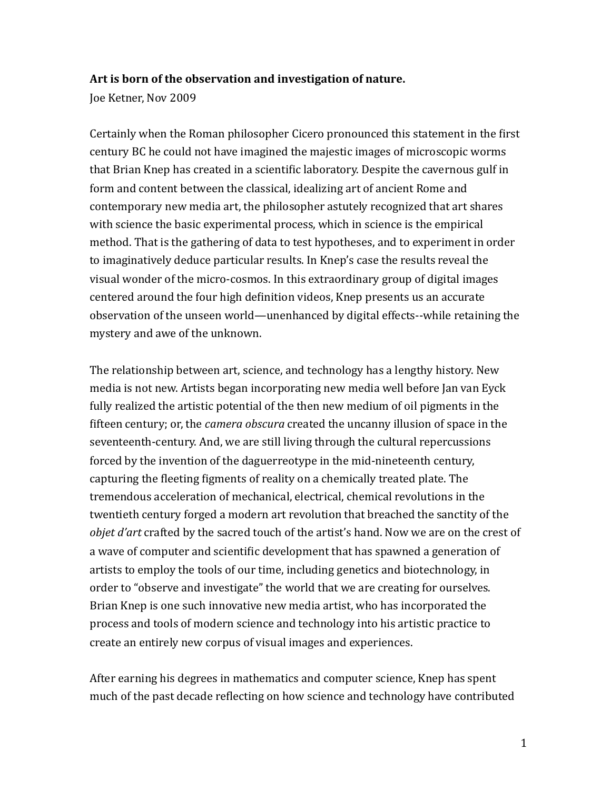## Art is born of the observation and investigation of nature.

Joe Ketner, Nov 2009

Certainly when the Roman philosopher Cicero pronounced this statement in the first century BC he could not have imagined the majestic images of microscopic worms that Brian Knep has created in a scientific laboratory. Despite the cavernous gulf in form and content between the classical, idealizing art of ancient Rome and contemporary new media art, the philosopher astutely recognized that art shares with science the basic experimental process, which in science is the empirical method. That is the gathering of data to test hypotheses, and to experiment in order to imaginatively deduce particular results. In Knep's case the results reveal the visual wonder of the micro-cosmos. In this extraordinary group of digital images centered around the four high definition videos, Knep presents us an accurate observation of the unseen world—unenhanced by digital effects--while retaining the mystery and awe of the unknown.

The relationship between art, science, and technology has a lengthy history. New media is not new. Artists began incorporating new media well before Jan van Eyck fully realized the artistic potential of the then new medium of oil pigments in the fifteen century; or, the *camera obscura* created the uncanny illusion of space in the seventeenth-century. And, we are still living through the cultural repercussions forced by the invention of the daguerreotype in the mid-nineteenth century, capturing the fleeting figments of reality on a chemically treated plate. The tremendous acceleration of mechanical, electrical, chemical revolutions in the twentieth century forged a modern art revolution that breached the sanctity of the *objet d'art* crafted by the sacred touch of the artist's hand. Now we are on the crest of a wave of computer and scientific development that has spawned a generation of artists to employ the tools of our time, including genetics and biotechnology, in order to "observe and investigate" the world that we are creating for ourselves. Brian Knep is one such innovative new media artist, who has incorporated the process and tools of modern science and technology into his artistic practice to create an entirely new corpus of visual images and experiences.

After earning his degrees in mathematics and computer science, Knep has spent much of the past decade reflecting on how science and technology have contributed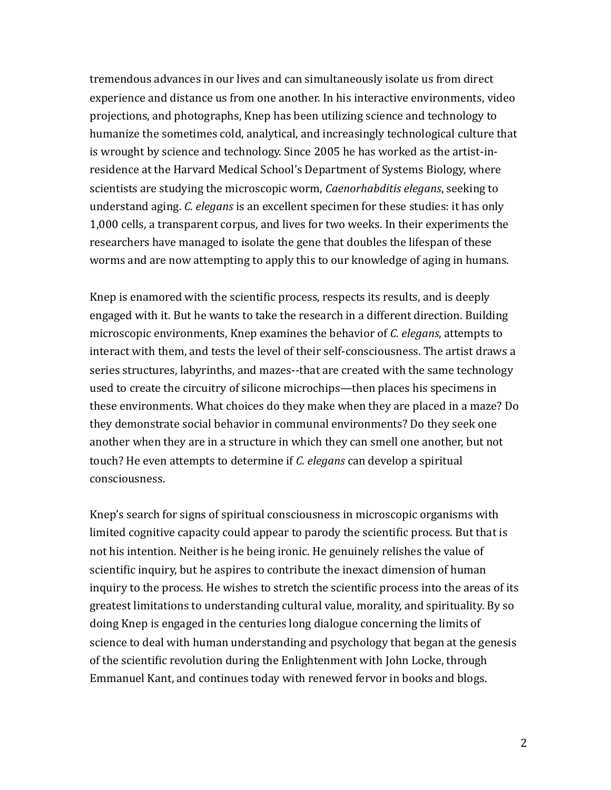tremendous advances in our lives and can simultaneously isolate us from direct experience and distance us from one another. In his interactive environments, video projections, and photographs, Knep has been utilizing science and technology to humanize the sometimes cold, analytical, and increasingly technological culture that is wrought by science and technology. Since 2005 he has worked as the artist-inresidence at the Harvard Medical School's Department of Systems Biology, where scientists are studying the microscopic worm, *Caenorhabditis elegans*, seeking to understand aging. *C. elegans* is an excellent specimen for these studies: it has only 1,000 cells, a transparent corpus, and lives for two weeks. In their experiments the researchers have managed to isolate the gene that doubles the lifespan of these worms and are now attempting to apply this to our knowledge of aging in humans.

Knep is enamored with the scientific process, respects its results, and is deeply engaged with it. But he wants to take the research in a different direction. Building microscopic environments, Knep examines the behavior of *C. elegans*, attempts to interact with them, and tests the level of their self-consciousness. The artist draws a series structures, labyrinths, and mazes--that are created with the same technology used to create the circuitry of silicone microchips—then places his specimens in these environments. What choices do they make when they are placed in a maze? Do they demonstrate social behavior in communal environments? Do they seek one another when they are in a structure in which they can smell one another, but not touch? He even attempts to determine if *C. elegans* can develop a spiritual consciousness.

Knep's search for signs of spiritual consciousness in microscopic organisms with limited cognitive capacity could appear to parody the scientific process. But that is not his intention. Neither is he being ironic. He genuinely relishes the value of scientific inquiry, but he aspires to contribute the inexact dimension of human inquiry to the process. He wishes to stretch the scientific process into the areas of its greatest limitations to understanding cultural value, morality, and spirituality. By so doing Knep is engaged in the centuries long dialogue concerning the limits of science to deal with human understanding and psychology that began at the genesis of the scientific revolution during the Enlightenment with John Locke, through Emmanuel Kant, and continues today with renewed fervor in books and blogs.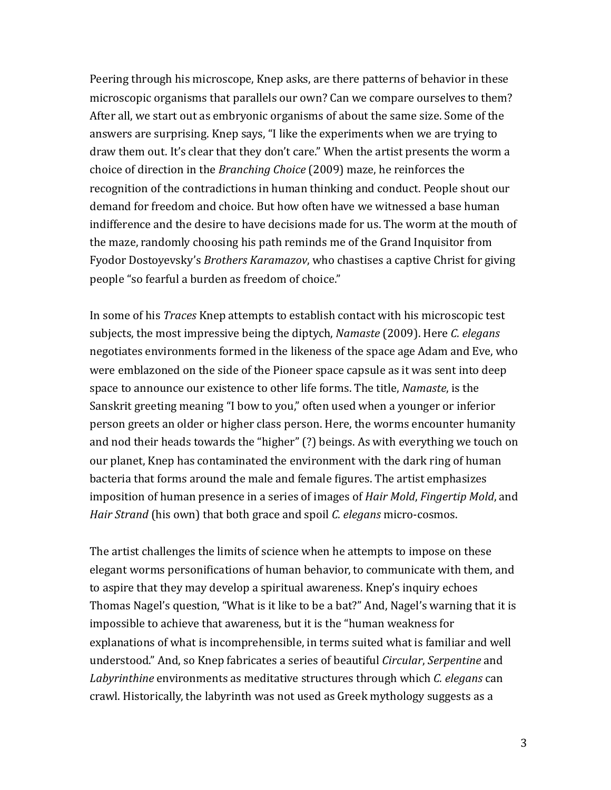Peering through his microscope, Knep asks, are there patterns of behavior in these microscopic organisms that parallels our own? Can we compare ourselves to them? After all, we start out as embryonic organisms of about the same size. Some of the answers are surprising. Knep says, "I like the experiments when we are trying to draw them out. It's clear that they don't care." When the artist presents the worm a choice of direction in the *Branching Choice* (2009) maze, he reinforces the recognition of the contradictions in human thinking and conduct. People shout our demand for freedom and choice. But how often have we witnessed a base human indifference and the desire to have decisions made for us. The worm at the mouth of the maze, randomly choosing his path reminds me of the Grand Inquisitor from Fyodor Dostoyevsky's *Brothers Karamazov*, who chastises a captive Christ for giving people "so fearful a burden as freedom of choice."

In some of his *Traces* Knep attempts to establish contact with his microscopic test subjects, the most impressive being the diptych, *Namaste* (2009). Here *C. elegans* negotiates environments formed in the likeness of the space age Adam and Eve, who were emblazoned on the side of the Pioneer space capsule as it was sent into deep space to announce our existence to other life forms. The title, *Namaste*, is the Sanskrit greeting meaning "I bow to you," often used when a younger or inferior person greets an older or higher class person. Here, the worms encounter humanity and nod their heads towards the "higher" (?) beings. As with everything we touch on our planet, Knep has contaminated the environment with the dark ring of human bacteria that forms around the male and female figures. The artist emphasizes imposition of human presence in a series of images of *Hair Mold*, *Fingertip Mold*, and *Hair Strand* (his own) that both grace and spoil *C. elegans* micro-cosmos.

The artist challenges the limits of science when he attempts to impose on these elegant worms personifications of human behavior, to communicate with them, and to aspire that they may develop a spiritual awareness. Knep's inquiry echoes Thomas Nagel's question, "What is it like to be a bat?" And, Nagel's warning that it is impossible to achieve that awareness, but it is the "human weakness for explanations of what is incomprehensible, in terms suited what is familiar and well understood."%And,%so%Knep%fabricates%a%series%of%beautiful%*Circular*,%*Serpentine&*and% Labyrinthine environments as meditative structures through which *C. elegans* can crawl. Historically, the labyrinth was not used as Greek mythology suggests as a